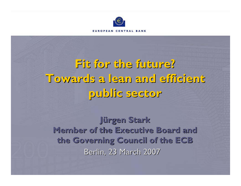

FUROPEAN CENTRAL RANK

**Fit for the future? Fit for the future? Towards a lean and efficient Towards a lean and efficient public sector public sector** 

**Jürgen Stark Jürgen Stark Member of the Executive Board and Member of the Executive Board and the Governing Council of the ECB the Governing Council of the ECB** Berlin, 23 March 2007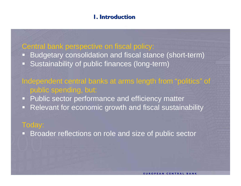### **1. Introduction 1. Introduction**

### Central bank perspective on fiscal policy:

 $\Box$  Budgetary consolidation and fiscal stance (short-term) U Sustainability of public finances (long-term)

### Independent central banks at arms length from "politics" of public spending, but:

- ŋ, Public sector performance and efficiency matter
- Ŏ, Relevant for economic growth and fiscal sustainability

### Today:

 $\Box$ Broader reflections on role and size of public sector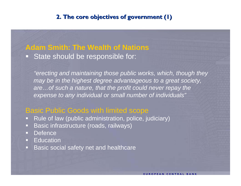### **2. The core objectives of government (1)**

## **Adam Smith: The Wealth of Nations** State should be responsible for:

*"erecting and maintaining those public works, which, though they may be in the highest degree advantageous to a great society, are…of such a nature, that the profit could never repay the expense to any individual or small number of individuals"*

### Basic Public Goods with limited scope

- Rule of law (public administration, police, judiciary)
- $\Box$ Basic infrastructure (roads, railways)
- $\Box$ **Defence**
- o. **Education**
- $\Box$ Basic social safety net and healthcare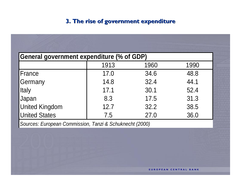### 3. The rise of government expenditure

| General government expenditure (% of GDP) |      |      |      |  |  |
|-------------------------------------------|------|------|------|--|--|
|                                           | 1913 | 1960 | 1990 |  |  |
| France                                    | 17.0 | 34.6 | 48.8 |  |  |
| Germany                                   | 14.8 | 32.4 | 44.1 |  |  |
| <b>Italy</b>                              | 17.1 | 30.1 | 52.4 |  |  |
| Japan                                     | 8.3  | 17.5 | 31.3 |  |  |
| <b>United Kingdom</b>                     | 12.7 | 32.2 | 38.5 |  |  |
| <b>United States</b>                      | 7.5  | 27.0 | 36.0 |  |  |
|                                           |      |      |      |  |  |

Sources: European Commission, Tanzi & Schuknecht (2000)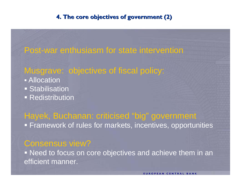### **4. The core objectives of government (2)**

# Post-war enthusiasm for state intervention

### Musgrave: objectives of fiscal policy:

- **Allocation Stabilisation**
- **Redistribution**

# Hayek, Buchanan: criticised "big" government Framework of rules for markets, incentives, opportunities

### Consensus view?

 Need to focus on core objectives and achieve them in an efficient manner.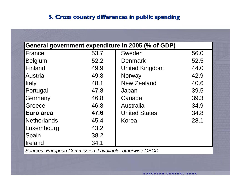### **5. Cross country differences in public spending**

| General government expenditure in 2005 (% of GDP) |      |                       |      |  |  |
|---------------------------------------------------|------|-----------------------|------|--|--|
| France                                            | 53.7 | Sweden                | 56.0 |  |  |
| <b>Belgium</b>                                    | 52.2 | <b>Denmark</b>        | 52.5 |  |  |
| Finland                                           | 49.9 | <b>United Kingdom</b> | 44.0 |  |  |
| Austria                                           | 49.8 | Norway                | 42.9 |  |  |
| <b>Italy</b>                                      | 48.1 | <b>New Zealand</b>    | 40.6 |  |  |
| Portugal                                          | 47.8 | Japan                 | 39.5 |  |  |
| Germany                                           | 46.8 | Canada                | 39.3 |  |  |
| Greece                                            | 46.8 | Australia             | 34.9 |  |  |
| Euro area                                         | 47.6 | <b>United States</b>  | 34.8 |  |  |
| Netherlands                                       | 45.4 | Korea                 | 28.1 |  |  |
| Luxembourg                                        | 43.2 |                       |      |  |  |
| Spain                                             | 38.2 |                       |      |  |  |
| Ireland                                           | 34.1 |                       |      |  |  |

*Sources: European Commission if available, otherwise OECD*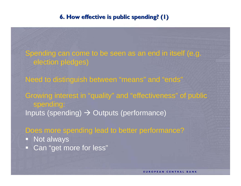### **6. How effective is public spending? (1)**

Spending can come to be seen as an end in itself (e.g. election pledges)

Need to distinguish between "means" and "ends" Growing interest in "quality" and "effectiveness" of public spending: Inputs (spending)  $\rightarrow$  Outputs (performance)

Does more spending lead to better performance?

- Not always
- Can "get more for less"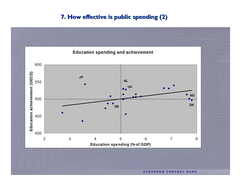### 7. How effective is public spending (2)



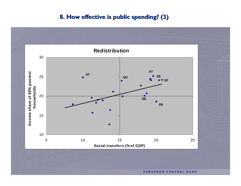### **8. How effective is public spending? (3)**

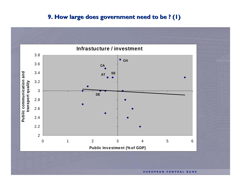#### **9. How large does government need to be ? (1)**

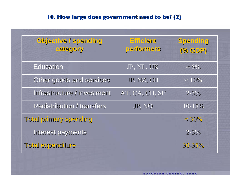### **10. How large does government need to be? (2) 10. How large does government need to be? (2)**

| Dailbuega \ evitseid0<br>category | Efficient<br>performers | Spending<br>(% GDP) |
|-----------------------------------|-------------------------|---------------------|
| Education                         | JP, NL, UK              | $\approx$ 5%        |
| Other goods and services          | JP, NZ, CH              | $\approx 10\%$      |
| Infrastructure / investment       | AT, CA, CH, SE          | $2 - 3\%$           |
| <b>Redistribution / transfers</b> | JP, NO                  | $10 - 15%$          |
| Total primary spending            |                         | $\approx$ 30%       |
| Interest payments                 |                         | $2 - 3\%$           |
| Total expenditure                 |                         | $30 - 35\%$         |